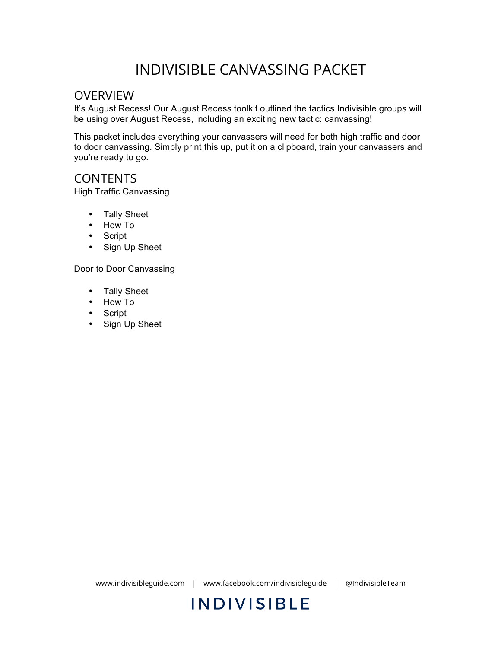## INDIVISIBLE CANVASSING PACKET

### OVERVIEW

It's August Recess! Our August Recess toolkit outlined the tactics Indivisible groups will be using over August Recess, including an exciting new tactic: canvassing!

This packet includes everything your canvassers will need for both high traffic and door to door canvassing. Simply print this up, put it on a clipboard, train your canvassers and you're ready to go.

### CONTENTS

High Traffic Canvassing

- Tally Sheet
- How To
- Script
- Sign Up Sheet

Door to Door Canvassing

- Tally Sheet
- How To
- Script
- Sign Up Sheet

www.indivisibleguide.com | www.facebook.com/indivisibleguide | @IndivisibleTeam

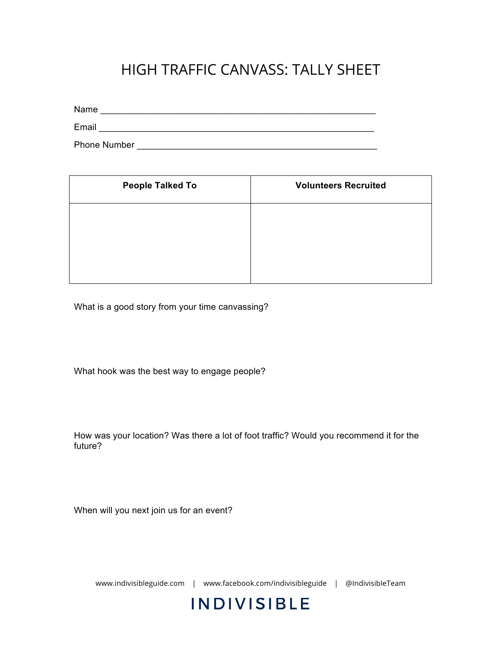## HIGH TRAFFIC CANVASS: TALLY SHEET

Name \_\_\_\_\_\_\_\_\_\_\_\_\_\_\_\_\_\_\_\_\_\_\_\_\_\_\_\_\_\_\_\_\_\_\_\_\_\_\_\_\_\_\_\_\_\_\_\_\_\_\_\_\_\_\_ Email **Email Email Exercise 2.2 (2004) Email Email** 

Phone Number **Example 20** 

| <b>People Talked To</b> | <b>Volunteers Recruited</b> |  |
|-------------------------|-----------------------------|--|
|                         |                             |  |
|                         |                             |  |
|                         |                             |  |

What is a good story from your time canvassing?

What hook was the best way to engage people?

How was your location? Was there a lot of foot traffic? Would you recommend it for the future?

When will you next join us for an event?

www.indivisibleguide.com | www.facebook.com/indivisibleguide | @IndivisibleTeam

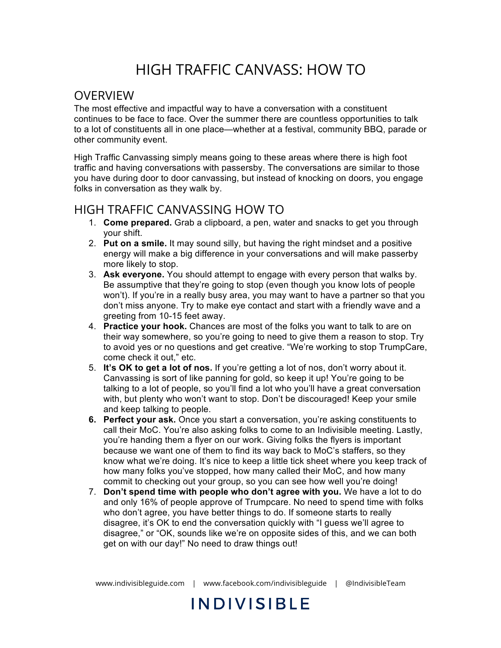# HIGH TRAFFIC CANVASS: HOW TO

### **OVERVIEW**

The most effective and impactful way to have a conversation with a constituent continues to be face to face. Over the summer there are countless opportunities to talk to a lot of constituents all in one place—whether at a festival, community BBQ, parade or other community event.

High Traffic Canvassing simply means going to these areas where there is high foot traffic and having conversations with passersby. The conversations are similar to those you have during door to door canvassing, but instead of knocking on doors, you engage folks in conversation as they walk by.

### HIGH TRAFFIC CANVASSING HOW TO

- 1. **Come prepared.** Grab a clipboard, a pen, water and snacks to get you through your shift.
- 2. **Put on a smile.** It may sound silly, but having the right mindset and a positive energy will make a big difference in your conversations and will make passerby more likely to stop.
- 3. **Ask everyone.** You should attempt to engage with every person that walks by. Be assumptive that they're going to stop (even though you know lots of people won't). If you're in a really busy area, you may want to have a partner so that you don't miss anyone. Try to make eye contact and start with a friendly wave and a greeting from 10-15 feet away.
- 4. **Practice your hook.** Chances are most of the folks you want to talk to are on their way somewhere, so you're going to need to give them a reason to stop. Try to avoid yes or no questions and get creative. "We're working to stop TrumpCare, come check it out," etc.
- 5. **It's OK to get a lot of nos.** If you're getting a lot of nos, don't worry about it. Canvassing is sort of like panning for gold, so keep it up! You're going to be talking to a lot of people, so you'll find a lot who you'll have a great conversation with, but plenty who won't want to stop. Don't be discouraged! Keep your smile and keep talking to people.
- **6. Perfect your ask.** Once you start a conversation, you're asking constituents to call their MoC. You're also asking folks to come to an Indivisible meeting. Lastly, you're handing them a flyer on our work. Giving folks the flyers is important because we want one of them to find its way back to MoC's staffers, so they know what we're doing. It's nice to keep a little tick sheet where you keep track of how many folks you've stopped, how many called their MoC, and how many commit to checking out your group, so you can see how well you're doing!
- 7. **Don't spend time with people who don't agree with you.** We have a lot to do and only 16% of people approve of Trumpcare. No need to spend time with folks who don't agree, you have better things to do. If someone starts to really disagree, it's OK to end the conversation quickly with "I guess we'll agree to disagree," or "OK, sounds like we're on opposite sides of this, and we can both get on with our day!" No need to draw things out!

www.indivisibleguide.com | www.facebook.com/indivisibleguide | @IndivisibleTeam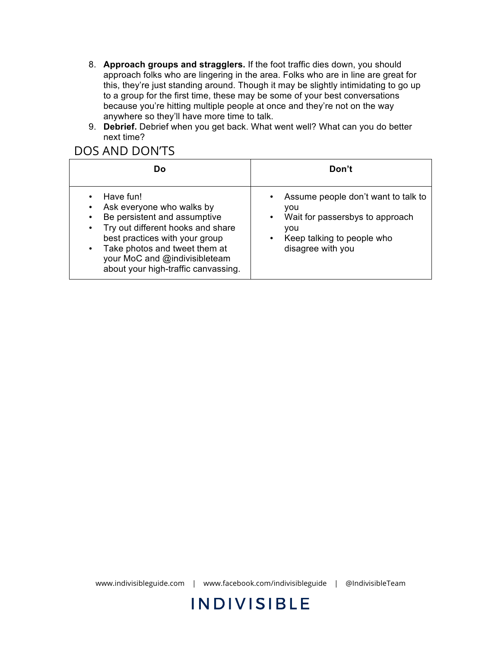- 8. **Approach groups and stragglers.** If the foot traffic dies down, you should approach folks who are lingering in the area. Folks who are in line are great for this, they're just standing around. Though it may be slightly intimidating to go up to a group for the first time, these may be some of your best conversations because you're hitting multiple people at once and they're not on the way anywhere so they'll have more time to talk.
- 9. **Debrief.** Debrief when you get back. What went well? What can you do better next time?

### DOS AND DON'TS

| Do                                                                                                                                                                                                                                                                                                      | Don't                                                                                                                                                                          |
|---------------------------------------------------------------------------------------------------------------------------------------------------------------------------------------------------------------------------------------------------------------------------------------------------------|--------------------------------------------------------------------------------------------------------------------------------------------------------------------------------|
| Have fun!<br>$\bullet$<br>Ask everyone who walks by<br>٠<br>Be persistent and assumptive<br>٠<br>Try out different hooks and share<br>$\bullet$<br>best practices with your group<br>Take photos and tweet them at<br>$\bullet$<br>your MoC and @indivisibleteam<br>about your high-traffic canvassing. | Assume people don't want to talk to<br>$\bullet$<br>vou<br>Wait for passersbys to approach<br>$\bullet$<br>vou<br>Keep talking to people who<br>$\bullet$<br>disagree with you |

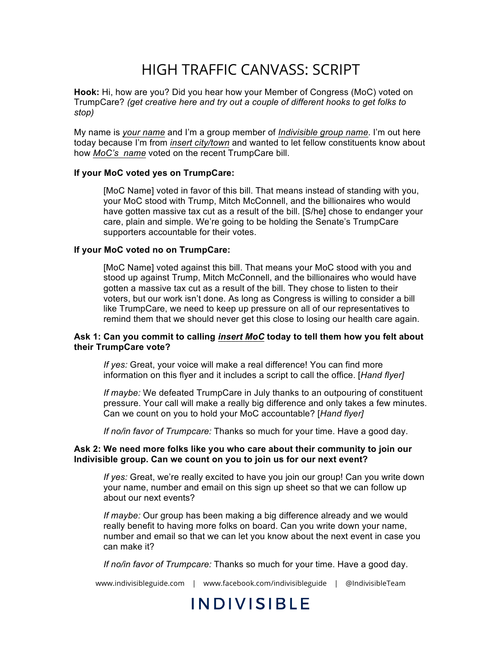## HIGH TRAFFIC CANVASS: SCRIPT

**Hook:** Hi, how are you? Did you hear how your Member of Congress (MoC) voted on TrumpCare? *(get creative here and try out a couple of different hooks to get folks to stop)*

My name is *your name* and I'm a group member of *Indivisible group name*. I'm out here today because I'm from *insert city/town* and wanted to let fellow constituents know about how *MoC's name* voted on the recent TrumpCare bill.

#### **If your MoC voted yes on TrumpCare:**

[MoC Name] voted in favor of this bill. That means instead of standing with you, your MoC stood with Trump, Mitch McConnell, and the billionaires who would have gotten massive tax cut as a result of the bill. [S/he] chose to endanger your care, plain and simple. We're going to be holding the Senate's TrumpCare supporters accountable for their votes.

#### **If your MoC voted no on TrumpCare:**

[MoC Name] voted against this bill. That means your MoC stood with you and stood up against Trump, Mitch McConnell, and the billionaires who would have gotten a massive tax cut as a result of the bill. They chose to listen to their voters, but our work isn't done. As long as Congress is willing to consider a bill like TrumpCare, we need to keep up pressure on all of our representatives to remind them that we should never get this close to losing our health care again.

#### **Ask 1: Can you commit to calling** *insert MoC* **today to tell them how you felt about their TrumpCare vote?**

*If yes:* Great, your voice will make a real difference! You can find more information on this flyer and it includes a script to call the office. [*Hand flyer]*

*If maybe:* We defeated TrumpCare in July thanks to an outpouring of constituent pressure. Your call will make a really big difference and only takes a few minutes. Can we count on you to hold your MoC accountable? [*Hand flyer]* 

*If no/in favor of Trumpcare:* Thanks so much for your time. Have a good day.

#### **Ask 2: We need more folks like you who care about their community to join our Indivisible group. Can we count on you to join us for our next event?**

*If yes:* Great, we're really excited to have you join our group! Can you write down your name, number and email on this sign up sheet so that we can follow up about our next events?

*If maybe:* Our group has been making a big difference already and we would really benefit to having more folks on board. Can you write down your name, number and email so that we can let you know about the next event in case you can make it?

*If no/in favor of Trumpcare:* Thanks so much for your time. Have a good day.

www.indivisibleguide.com | www.facebook.com/indivisibleguide | @IndivisibleTeam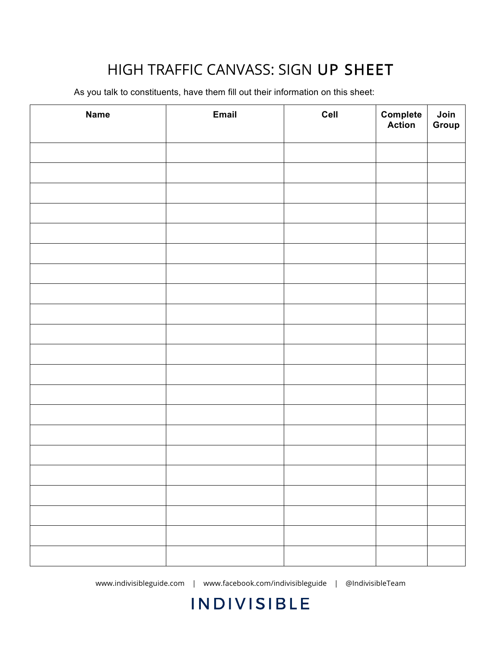# HIGH TRAFFIC CANVASS: SIGN UP SHEET

As you talk to constituents, have them fill out their information on this sheet:

| <b>Name</b> | Email | Cell | <b>Complete</b><br><b>Action</b> | Join<br>Group |
|-------------|-------|------|----------------------------------|---------------|
|             |       |      |                                  |               |
|             |       |      |                                  |               |
|             |       |      |                                  |               |
|             |       |      |                                  |               |
|             |       |      |                                  |               |
|             |       |      |                                  |               |
|             |       |      |                                  |               |
|             |       |      |                                  |               |
|             |       |      |                                  |               |
|             |       |      |                                  |               |
|             |       |      |                                  |               |
|             |       |      |                                  |               |
|             |       |      |                                  |               |
|             |       |      |                                  |               |
|             |       |      |                                  |               |
|             |       |      |                                  |               |
|             |       |      |                                  |               |
|             |       |      |                                  |               |
|             |       |      |                                  |               |
|             |       |      |                                  |               |
|             |       |      |                                  |               |

www.indivisibleguide.com | www.facebook.com/indivisibleguide | @IndivisibleTeam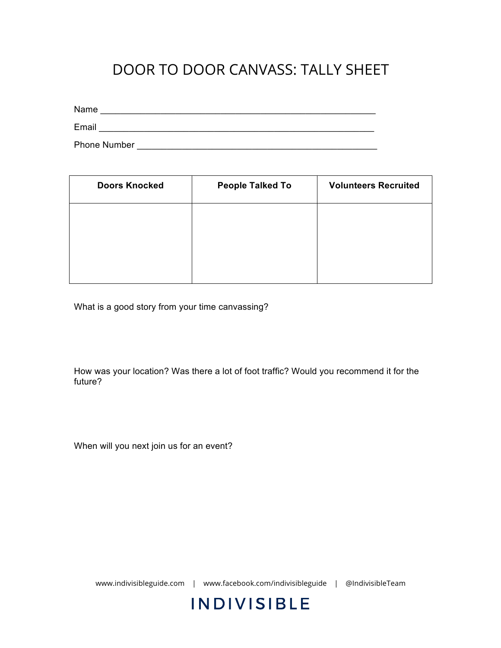## DOOR TO DOOR CANVASS: TALLY SHEET

Name \_\_\_\_\_\_\_\_\_\_\_\_\_\_\_\_\_\_\_\_\_\_\_\_\_\_\_\_\_\_\_\_\_\_\_\_\_\_\_\_\_\_\_\_\_\_\_\_\_\_\_\_\_\_\_

Email \_\_\_\_\_\_\_\_\_\_\_\_\_\_\_\_\_\_\_\_\_\_\_\_\_\_\_\_\_\_\_\_\_\_\_\_\_\_\_\_\_\_\_\_\_\_\_\_\_\_\_\_\_\_\_

Phone Number **Example 20** 

| <b>Doors Knocked</b> | <b>People Talked To</b> | <b>Volunteers Recruited</b> |
|----------------------|-------------------------|-----------------------------|
|                      |                         |                             |
|                      |                         |                             |
|                      |                         |                             |

What is a good story from your time canvassing?

How was your location? Was there a lot of foot traffic? Would you recommend it for the future?

When will you next join us for an event?

www.indivisibleguide.com | www.facebook.com/indivisibleguide | @IndivisibleTeam

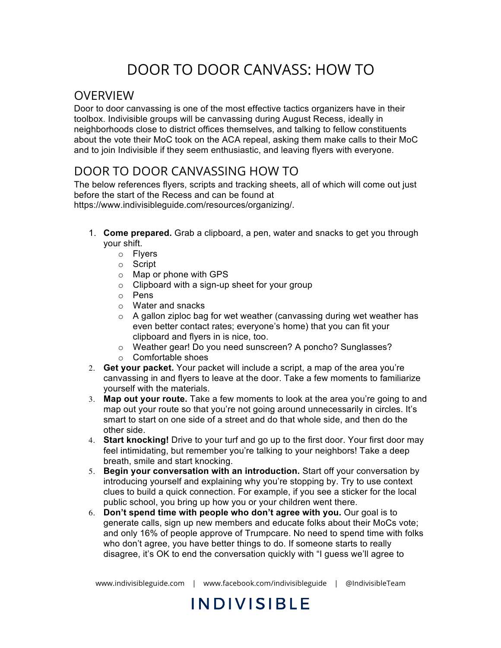# DOOR TO DOOR CANVASS: HOW TO

### **OVERVIEW**

Door to door canvassing is one of the most effective tactics organizers have in their toolbox. Indivisible groups will be canvassing during August Recess, ideally in neighborhoods close to district offices themselves, and talking to fellow constituents about the vote their MoC took on the ACA repeal, asking them make calls to their MoC and to join Indivisible if they seem enthusiastic, and leaving flyers with everyone.

### DOOR TO DOOR CANVASSING HOW TO

The below references flyers, scripts and tracking sheets, all of which will come out just before the start of the Recess and can be found at

https://www.indivisibleguide.com/resources/organizing/.

- 1. **Come prepared.** Grab a clipboard, a pen, water and snacks to get you through your shift.
	- o Flyers
	- o Script
	- o Map or phone with GPS
	- $\circ$  Clipboard with a sign-up sheet for your group
	- o Pens
	- o Water and snacks
	- o A gallon ziploc bag for wet weather (canvassing during wet weather has even better contact rates; everyone's home) that you can fit your clipboard and flyers in is nice, too.
	- o Weather gear! Do you need sunscreen? A poncho? Sunglasses?
	- o Comfortable shoes
- 2. **Get your packet.** Your packet will include a script, a map of the area you're canvassing in and flyers to leave at the door. Take a few moments to familiarize yourself with the materials.
- 3. **Map out your route.** Take a few moments to look at the area you're going to and map out your route so that you're not going around unnecessarily in circles. It's smart to start on one side of a street and do that whole side, and then do the other side.
- 4. **Start knocking!** Drive to your turf and go up to the first door. Your first door may feel intimidating, but remember you're talking to your neighbors! Take a deep breath, smile and start knocking.
- 5. **Begin your conversation with an introduction.** Start off your conversation by introducing yourself and explaining why you're stopping by. Try to use context clues to build a quick connection. For example, if you see a sticker for the local public school, you bring up how you or your children went there.
- 6. **Don't spend time with people who don't agree with you.** Our goal is to generate calls, sign up new members and educate folks about their MoCs vote; and only 16% of people approve of Trumpcare. No need to spend time with folks who don't agree, you have better things to do. If someone starts to really disagree, it's OK to end the conversation quickly with "I guess we'll agree to

www.indivisibleguide.com | www.facebook.com/indivisibleguide | @IndivisibleTeam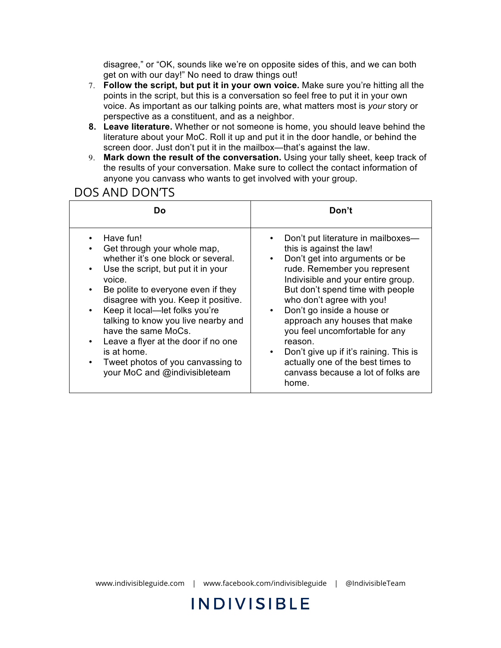disagree," or "OK, sounds like we're on opposite sides of this, and we can both get on with our day!" No need to draw things out!

- 7. **Follow the script, but put it in your own voice.** Make sure you're hitting all the points in the script, but this is a conversation so feel free to put it in your own voice. As important as our talking points are, what matters most is *your* story or perspective as a constituent, and as a neighbor.
- **8. Leave literature.** Whether or not someone is home, you should leave behind the literature about your MoC. Roll it up and put it in the door handle, or behind the screen door. Just don't put it in the mailbox—that's against the law.
- 9. **Mark down the result of the conversation.** Using your tally sheet, keep track of the results of your conversation. Make sure to collect the contact information of anyone you canvass who wants to get involved with your group.

#### DOS AND DON'TS

| Do                                                                                                                                                                                                                                                                                                                                                                                                                                            | Don't                                                                                                                                                                                                                                                                                                                                                                                                                                                                                                                                 |  |
|-----------------------------------------------------------------------------------------------------------------------------------------------------------------------------------------------------------------------------------------------------------------------------------------------------------------------------------------------------------------------------------------------------------------------------------------------|---------------------------------------------------------------------------------------------------------------------------------------------------------------------------------------------------------------------------------------------------------------------------------------------------------------------------------------------------------------------------------------------------------------------------------------------------------------------------------------------------------------------------------------|--|
| Have fun!<br>Get through your whole map,<br>whether it's one block or several.<br>Use the script, but put it in your<br>٠<br>voice.<br>Be polite to everyone even if they<br>disagree with you. Keep it positive.<br>Keep it local-let folks you're<br>talking to know you live nearby and<br>have the same MoCs.<br>Leave a flyer at the door if no one<br>is at home.<br>Tweet photos of you canvassing to<br>your MoC and @indivisibleteam | Don't put literature in mailboxes-<br>$\bullet$<br>this is against the law!<br>Don't get into arguments or be<br>$\bullet$<br>rude. Remember you represent<br>Indivisible and your entire group.<br>But don't spend time with people<br>who don't agree with you!<br>Don't go inside a house or<br>$\bullet$<br>approach any houses that make<br>you feel uncomfortable for any<br>reason.<br>Don't give up if it's raining. This is<br>$\bullet$<br>actually one of the best times to<br>canvass because a lot of folks are<br>home. |  |

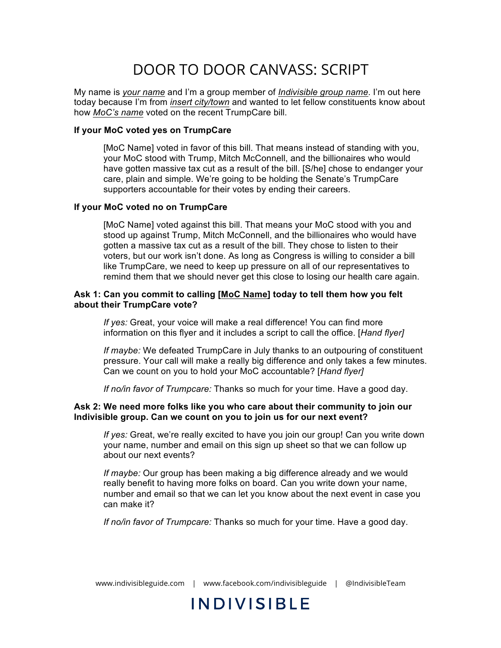## DOOR TO DOOR CANVASS: SCRIPT

My name is *your name* and I'm a group member of *Indivisible group name*. I'm out here today because I'm from *insert city/town* and wanted to let fellow constituents know about how *MoC's name* voted on the recent TrumpCare bill.

#### **If your MoC voted yes on TrumpCare**

[MoC Name] voted in favor of this bill. That means instead of standing with you, your MoC stood with Trump, Mitch McConnell, and the billionaires who would have gotten massive tax cut as a result of the bill. [S/he] chose to endanger your care, plain and simple. We're going to be holding the Senate's TrumpCare supporters accountable for their votes by ending their careers.

#### **If your MoC voted no on TrumpCare**

[MoC Name] voted against this bill. That means your MoC stood with you and stood up against Trump, Mitch McConnell, and the billionaires who would have gotten a massive tax cut as a result of the bill. They chose to listen to their voters, but our work isn't done. As long as Congress is willing to consider a bill like TrumpCare, we need to keep up pressure on all of our representatives to remind them that we should never get this close to losing our health care again.

#### **Ask 1: Can you commit to calling [MoC Name] today to tell them how you felt about their TrumpCare vote?**

*If yes:* Great, your voice will make a real difference! You can find more information on this flyer and it includes a script to call the office. [*Hand flyer]*

*If maybe:* We defeated TrumpCare in July thanks to an outpouring of constituent pressure. Your call will make a really big difference and only takes a few minutes. Can we count on you to hold your MoC accountable? [*Hand flyer]* 

*If no/in favor of Trumpcare:* Thanks so much for your time. Have a good day.

#### **Ask 2: We need more folks like you who care about their community to join our Indivisible group. Can we count on you to join us for our next event?**

*If yes:* Great, we're really excited to have you join our group! Can you write down your name, number and email on this sign up sheet so that we can follow up about our next events?

*If maybe:* Our group has been making a big difference already and we would really benefit to having more folks on board. Can you write down your name, number and email so that we can let you know about the next event in case you can make it?

*If no/in favor of Trumpcare:* Thanks so much for your time. Have a good day.